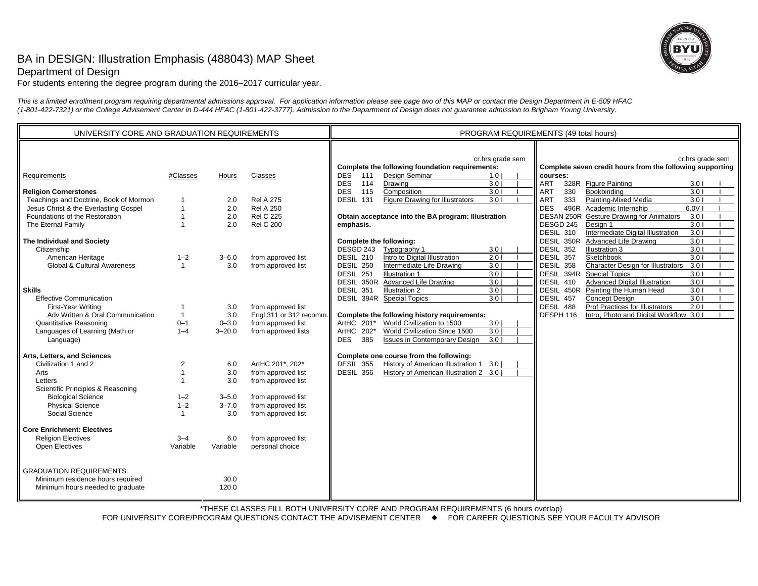# BA in DESIGN: Illustration Emphasis (488043) MAP Sheet



## Department of Design

For students entering the degree program during the 2016–2017 curricular year.

*This is a limited enrollment program requiring departmental admissions approval. For application information please see page two of this MAP or contact the Design Department in E-509 HFAC (1-801-422-7321) or the College Advisement Center in D-444 HFAC (1-801-422-3777). Admission to the Department of Design does not guarantee admission to Brigham Young University.*

| UNIVERSITY CORE AND GRADUATION REQUIREMENTS                                                                                                                                                                                                                                                   |                                                                                                      |                                                                       |                                                                                                                                                                         | PROGRAM REQUIREMENTS (49 total hours)                                                                                                                                                                                                                                                                                                                                                                                                                                                                                                                                                                                                                                                                                                                                                                                                                                                                                                                                                                                                                                                                         |  |  |
|-----------------------------------------------------------------------------------------------------------------------------------------------------------------------------------------------------------------------------------------------------------------------------------------------|------------------------------------------------------------------------------------------------------|-----------------------------------------------------------------------|-------------------------------------------------------------------------------------------------------------------------------------------------------------------------|---------------------------------------------------------------------------------------------------------------------------------------------------------------------------------------------------------------------------------------------------------------------------------------------------------------------------------------------------------------------------------------------------------------------------------------------------------------------------------------------------------------------------------------------------------------------------------------------------------------------------------------------------------------------------------------------------------------------------------------------------------------------------------------------------------------------------------------------------------------------------------------------------------------------------------------------------------------------------------------------------------------------------------------------------------------------------------------------------------------|--|--|
| Requirements                                                                                                                                                                                                                                                                                  | #Classes                                                                                             | Hours                                                                 | Classes                                                                                                                                                                 | cr.hrs grade sem<br>cr.hrs grade sem<br>Complete the following foundation requirements:<br>Complete seven credit hours from the following supporting<br><b>DES</b><br>Design Seminar<br>111<br>1.0<br>courses:<br><b>DES</b><br>114<br>3.0<br>ART<br>Drawing<br>328R Figure Painting<br>3.01                                                                                                                                                                                                                                                                                                                                                                                                                                                                                                                                                                                                                                                                                                                                                                                                                  |  |  |
| <b>Religion Cornerstones</b><br>Teachings and Doctrine, Book of Mormon<br>Jesus Christ & the Everlasting Gospel<br>Foundations of the Restoration<br>The Eternal Family                                                                                                                       | $\overline{1}$<br>$\overline{1}$                                                                     | 2.0<br>2.0<br>2.0<br>2.0                                              | <b>Rel A 275</b><br><b>Rel A 250</b><br><b>Rel C 225</b><br><b>Rel C 200</b>                                                                                            | 3.01<br><b>ART</b><br>330<br>Bookbinding<br>3.01<br><b>DES</b><br>115<br>Composition<br>Figure Drawing for Illustrators<br>3.01<br>Painting-Mixed Media<br>DESIL 131<br><b>ART</b><br>333<br>3.01<br>496R Academic Internship<br><b>DES</b><br>6.0V<br>DESAN 250R Gesture Drawing for Animators<br>3.01<br>Obtain acceptance into the BA program: Illustration<br>$\overline{3.01}$<br>DESGD 245<br>emphasis.<br>Design 1                                                                                                                                                                                                                                                                                                                                                                                                                                                                                                                                                                                                                                                                                     |  |  |
| The Individual and Society<br>Citizenship<br>American Heritage<br>Global & Cultural Awareness<br><b>Skills</b><br><b>Effective Communication</b><br>First-Year Writing<br>Adv Written & Oral Communication<br><b>Quantitative Reasoning</b><br>Languages of Learning (Math or                 | $1 - 2$<br>$\mathbf{1}$<br>-1<br>$\mathbf{1}$<br>$0 - 1$<br>$1 - 4$                                  | $3 - 6.0$<br>3.0<br>3.0<br>3.0<br>$0 - 3.0$<br>$3 - 20.0$             | from approved list<br>from approved list<br>from approved list<br>Engl 311 or 312 recomm.<br>from approved list<br>from approved lists                                  | DESIL 310<br>Intermediate Digital Illustration<br>3.01<br>DESIL 350R Advanced Life Drawing<br>3.01<br>Complete the following:<br>DESIL 352<br>Illustration 3<br>3.01<br>DESGD 243<br>Typography 1<br>3.0<br>Intro to Digital Illustration<br>Sketchbook<br>3.01<br>2.01<br>DESIL 357<br>DESIL 210<br><b>Character Design for Illustrators</b><br>3.01<br>Intermediate Life Drawing<br>3.0<br>DESIL 358<br>DESIL 250<br>3.0 <sub>1</sub><br>DESIL 394R<br>3.01<br>DESIL 251<br><b>Illustration 1</b><br><b>Special Topics</b><br>DESIL 410<br><b>Advanced Digital Illustration</b><br>3.01<br>DESIL 350R Advanced Life Drawing<br>3.0<br>DESIL 351<br>Illustration 2<br>3.0 <sub>1</sub><br>DESIL 450R Painting the Human Head<br>3.01<br>3.01<br>DESIL 394R Special Topics<br>3.0 <sub>1</sub><br>DESIL 457<br><b>Concept Design</b><br>DESIL 488<br>2.01<br>Prof Practices for Illustrators<br>Complete the following history requirements:<br>DESPH 116<br>Intro, Photo and Digital Workflow 3.0 I<br>ArtHC 201*<br>World Civilization to 1500<br>3.0<br>World Civilization Since 1500<br>3.0<br>ArtHC 202* |  |  |
| Language)<br>Arts, Letters, and Sciences<br>Civilization 1 and 2<br>Arts<br>Letters<br>Scientific Principles & Reasoning<br><b>Biological Science</b><br><b>Physical Science</b><br>Social Science<br><b>Core Enrichment: Electives</b><br><b>Religion Electives</b><br><b>Open Electives</b> | 2<br>$\overline{1}$<br>$\overline{1}$<br>$1 - 2$<br>$1 - 2$<br>$\overline{1}$<br>$3 - 4$<br>Variable | 6.0<br>3.0<br>3.0<br>$3 - 5.0$<br>$3 - 7.0$<br>3.0<br>6.0<br>Variable | ArtHC 201*, 202*<br>from approved list<br>from approved list<br>from approved list<br>from approved list<br>from approved list<br>from approved list<br>personal choice | <b>DES</b><br>385<br>3.0<br><b>Issues in Contemporary Design</b><br>Complete one course from the following:<br><b>DESIL 355</b><br>History of American Illustration 1 3.0  <br>History of American Illustration 2 3.0  <br>DESIL 356                                                                                                                                                                                                                                                                                                                                                                                                                                                                                                                                                                                                                                                                                                                                                                                                                                                                          |  |  |
| <b>GRADUATION REQUIREMENTS:</b><br>Minimum residence hours required<br>Minimum hours needed to graduate                                                                                                                                                                                       |                                                                                                      | 30.0<br>120.0                                                         |                                                                                                                                                                         |                                                                                                                                                                                                                                                                                                                                                                                                                                                                                                                                                                                                                                                                                                                                                                                                                                                                                                                                                                                                                                                                                                               |  |  |

\*THESE CLASSES FILL BOTH UNIVERSITY CORE AND PROGRAM REQUIREMENTS (6 hours overlap)

FOR UNIVERSITY CORE/PROGRAM QUESTIONS CONTACT THE ADVISEMENT CENTER ♦ FOR CAREER QUESTIONS SEE YOUR FACULTY ADVISOR